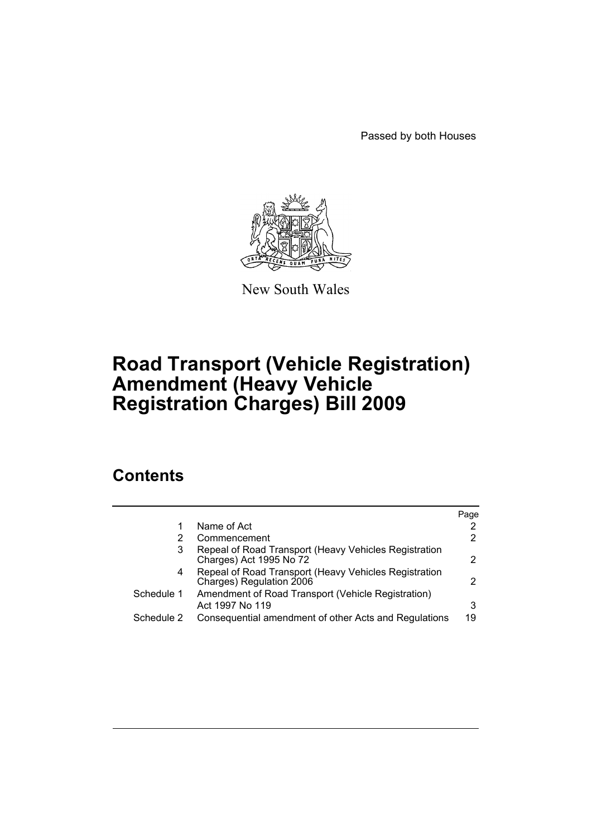Passed by both Houses



New South Wales

# **Road Transport (Vehicle Registration) Amendment (Heavy Vehicle Registration Charges) Bill 2009**

# **Contents**

|            |                                                                                   | Page                  |
|------------|-----------------------------------------------------------------------------------|-----------------------|
|            | Name of Act                                                                       | $\mathbf{2}^{\prime}$ |
|            | Commencement                                                                      | 2                     |
| 3          | Repeal of Road Transport (Heavy Vehicles Registration<br>Charges) Act 1995 No 72  | 2                     |
| 4          | Repeal of Road Transport (Heavy Vehicles Registration<br>Charges) Regulation 2006 | 2                     |
| Schedule 1 | Amendment of Road Transport (Vehicle Registration)<br>Act 1997 No 119             | 3                     |
| Schedule 2 | Consequential amendment of other Acts and Regulations                             | 19                    |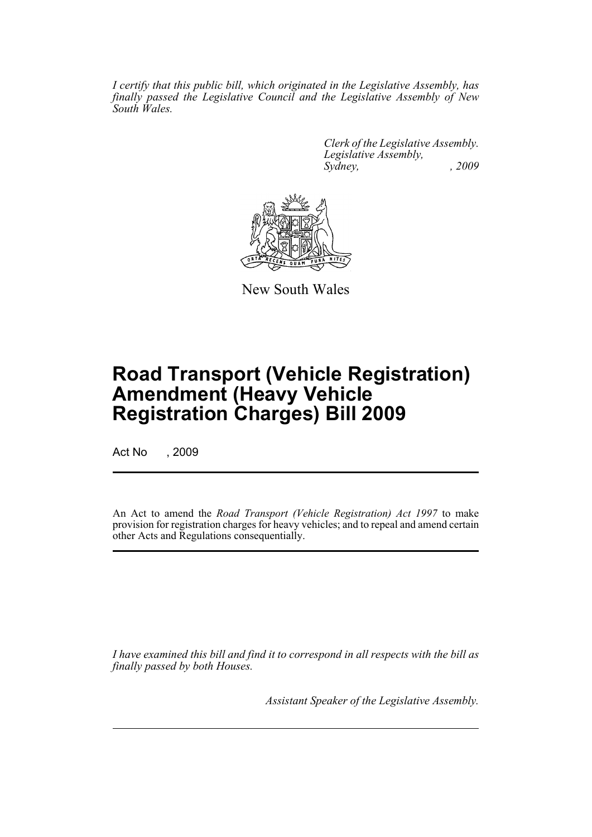*I certify that this public bill, which originated in the Legislative Assembly, has finally passed the Legislative Council and the Legislative Assembly of New South Wales.*

> *Clerk of the Legislative Assembly. Legislative Assembly, Sydney, , 2009*



New South Wales

# **Road Transport (Vehicle Registration) Amendment (Heavy Vehicle Registration Charges) Bill 2009**

Act No , 2009

An Act to amend the *Road Transport (Vehicle Registration) Act 1997* to make provision for registration charges for heavy vehicles; and to repeal and amend certain other Acts and Regulations consequentially.

*I have examined this bill and find it to correspond in all respects with the bill as finally passed by both Houses.*

*Assistant Speaker of the Legislative Assembly.*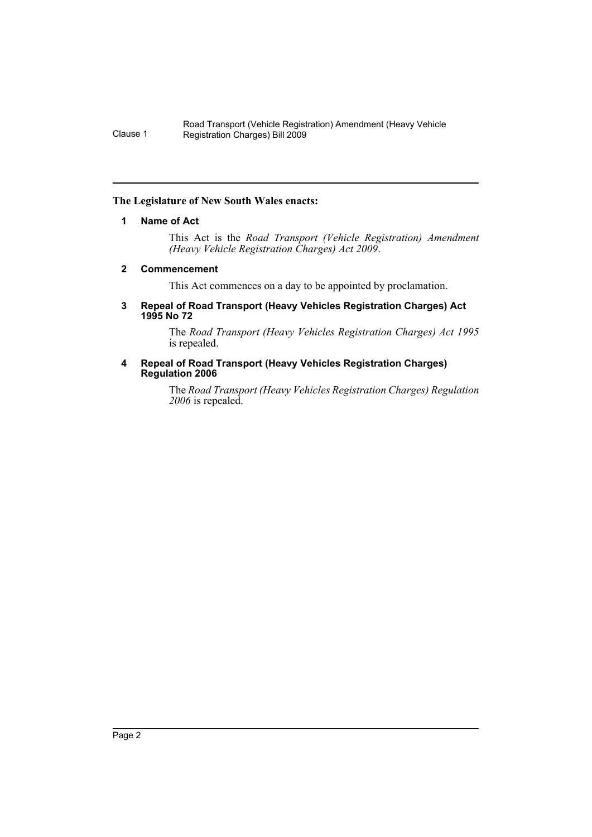## <span id="page-2-0"></span>**The Legislature of New South Wales enacts:**

## **1 Name of Act**

This Act is the *Road Transport (Vehicle Registration) Amendment (Heavy Vehicle Registration Charges) Act 2009*.

## <span id="page-2-1"></span>**2 Commencement**

This Act commences on a day to be appointed by proclamation.

#### <span id="page-2-2"></span>**3 Repeal of Road Transport (Heavy Vehicles Registration Charges) Act 1995 No 72**

The *Road Transport (Heavy Vehicles Registration Charges) Act 1995* is repealed.

#### <span id="page-2-3"></span>**4 Repeal of Road Transport (Heavy Vehicles Registration Charges) Regulation 2006**

The *Road Transport (Heavy Vehicles Registration Charges) Regulation 2006* is repealed.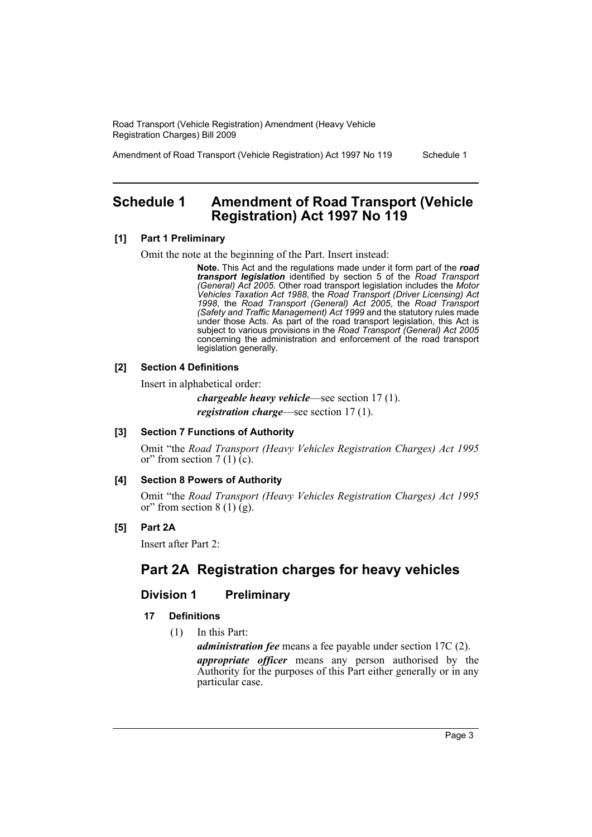Amendment of Road Transport (Vehicle Registration) Act 1997 No 119 Schedule 1

# <span id="page-3-0"></span>**Schedule 1 Amendment of Road Transport (Vehicle Registration) Act 1997 No 119**

## **[1] Part 1 Preliminary**

Omit the note at the beginning of the Part. Insert instead:

**Note.** This Act and the regulations made under it form part of the *road transport legislation* identified by section 5 of the *Road Transport (General) Act 2005*. Other road transport legislation includes the *Motor Vehicles Taxation Act 1988*, the *Road Transport (Driver Licensing) Act 1998*, the *Road Transport (General) Act 2005*, the *Road Transport (Safety and Traffic Management) Act 1999* and the statutory rules made under those Acts. As part of the road transport legislation, this Act is subject to various provisions in the *Road Transport (General) Act 2005* concerning the administration and enforcement of the road transport legislation generally.

## **[2] Section 4 Definitions**

Insert in alphabetical order:

*chargeable heavy vehicle*—see section 17 (1).

*registration charge*—see section 17 (1).

#### **[3] Section 7 Functions of Authority**

Omit "the *Road Transport (Heavy Vehicles Registration Charges) Act 1995* or" from section  $7(1)(c)$ .

#### **[4] Section 8 Powers of Authority**

Omit "the *Road Transport (Heavy Vehicles Registration Charges) Act 1995* or" from section  $8(1)(g)$ .

## **[5] Part 2A**

Insert after Part 2:

# **Part 2A Registration charges for heavy vehicles**

## **Division 1 Preliminary**

## **17 Definitions**

(1) In this Part:

*administration fee* means a fee payable under section 17C (2).

*appropriate officer* means any person authorised by the Authority for the purposes of this Part either generally or in any particular case.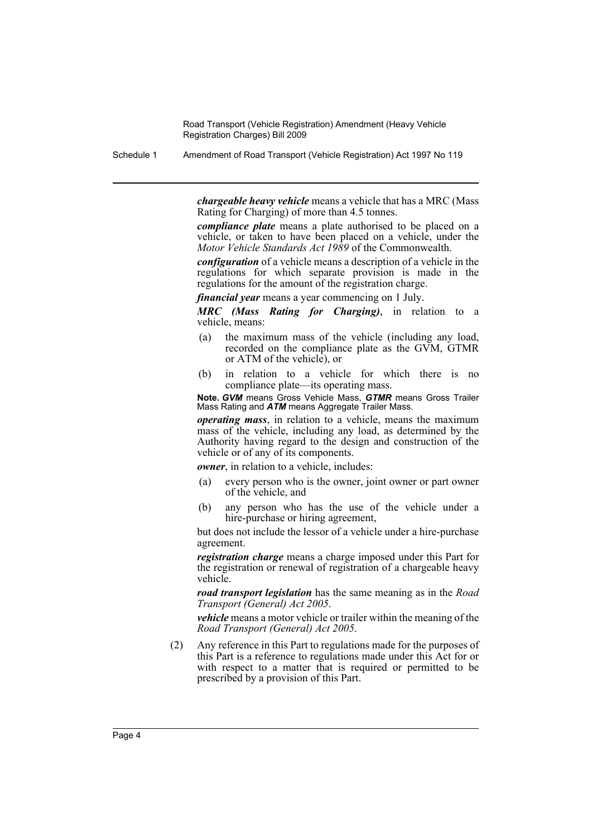Schedule 1 Amendment of Road Transport (Vehicle Registration) Act 1997 No 119

*chargeable heavy vehicle* means a vehicle that has a MRC (Mass Rating for Charging) of more than 4.5 tonnes.

*compliance plate* means a plate authorised to be placed on a vehicle, or taken to have been placed on a vehicle, under the *Motor Vehicle Standards Act 1989* of the Commonwealth.

*configuration* of a vehicle means a description of a vehicle in the regulations for which separate provision is made in the regulations for the amount of the registration charge.

*financial year* means a year commencing on 1 July.

*MRC (Mass Rating for Charging)*, in relation to a vehicle, means:

- (a) the maximum mass of the vehicle (including any load, recorded on the compliance plate as the GVM, GTMR or ATM of the vehicle), or
- (b) in relation to a vehicle for which there is no compliance plate—its operating mass.

**Note.** *GVM* means Gross Vehicle Mass, *GTMR* means Gross Trailer Mass Rating and *ATM* means Aggregate Trailer Mass.

*operating mass*, in relation to a vehicle, means the maximum mass of the vehicle, including any load, as determined by the Authority having regard to the design and construction of the vehicle or of any of its components.

*owner*, in relation to a vehicle, includes:

- (a) every person who is the owner, joint owner or part owner of the vehicle, and
- (b) any person who has the use of the vehicle under a hire-purchase or hiring agreement,

but does not include the lessor of a vehicle under a hire-purchase agreement.

*registration charge* means a charge imposed under this Part for the registration or renewal of registration of a chargeable heavy vehicle.

*road transport legislation* has the same meaning as in the *Road Transport (General) Act 2005*.

*vehicle* means a motor vehicle or trailer within the meaning of the *Road Transport (General) Act 2005*.

(2) Any reference in this Part to regulations made for the purposes of this Part is a reference to regulations made under this Act for or with respect to a matter that is required or permitted to be prescribed by a provision of this Part.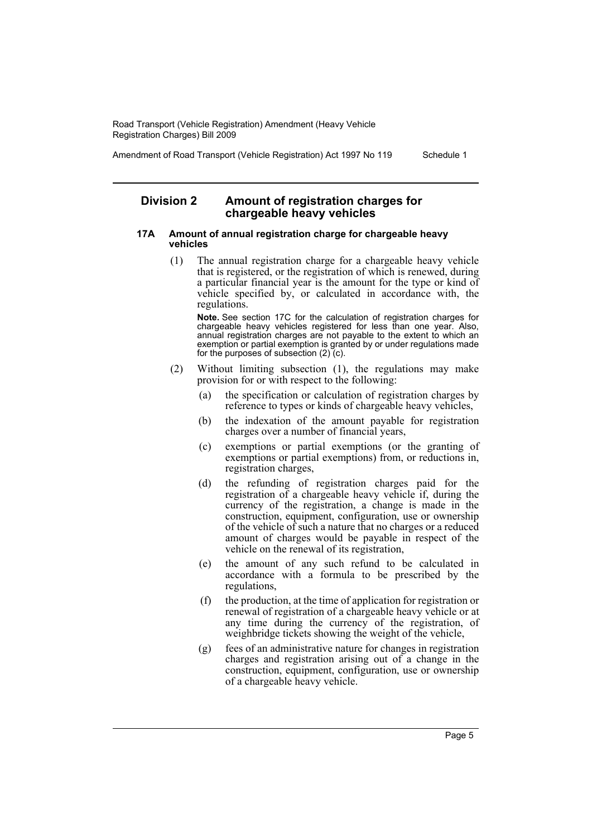Amendment of Road Transport (Vehicle Registration) Act 1997 No 119 Schedule 1

## **Division 2 Amount of registration charges for chargeable heavy vehicles**

#### **17A Amount of annual registration charge for chargeable heavy vehicles**

(1) The annual registration charge for a chargeable heavy vehicle that is registered, or the registration of which is renewed, during a particular financial year is the amount for the type or kind of vehicle specified by, or calculated in accordance with, the regulations.

**Note.** See section 17C for the calculation of registration charges for chargeable heavy vehicles registered for less than one year. Also, annual registration charges are not payable to the extent to which an exemption or partial exemption is granted by or under regulations made for the purposes of subsection  $(2)$  (c).

- (2) Without limiting subsection (1), the regulations may make provision for or with respect to the following:
	- (a) the specification or calculation of registration charges by reference to types or kinds of chargeable heavy vehicles,
	- (b) the indexation of the amount payable for registration charges over a number of financial years,
	- (c) exemptions or partial exemptions (or the granting of exemptions or partial exemptions) from, or reductions in, registration charges,
	- (d) the refunding of registration charges paid for the registration of a chargeable heavy vehicle if, during the currency of the registration, a change is made in the construction, equipment, configuration, use or ownership of the vehicle of such a nature that no charges or a reduced amount of charges would be payable in respect of the vehicle on the renewal of its registration,
	- (e) the amount of any such refund to be calculated in accordance with a formula to be prescribed by the regulations,
	- (f) the production, at the time of application for registration or renewal of registration of a chargeable heavy vehicle or at any time during the currency of the registration, of weighbridge tickets showing the weight of the vehicle,
	- (g) fees of an administrative nature for changes in registration charges and registration arising out of a change in the construction, equipment, configuration, use or ownership of a chargeable heavy vehicle.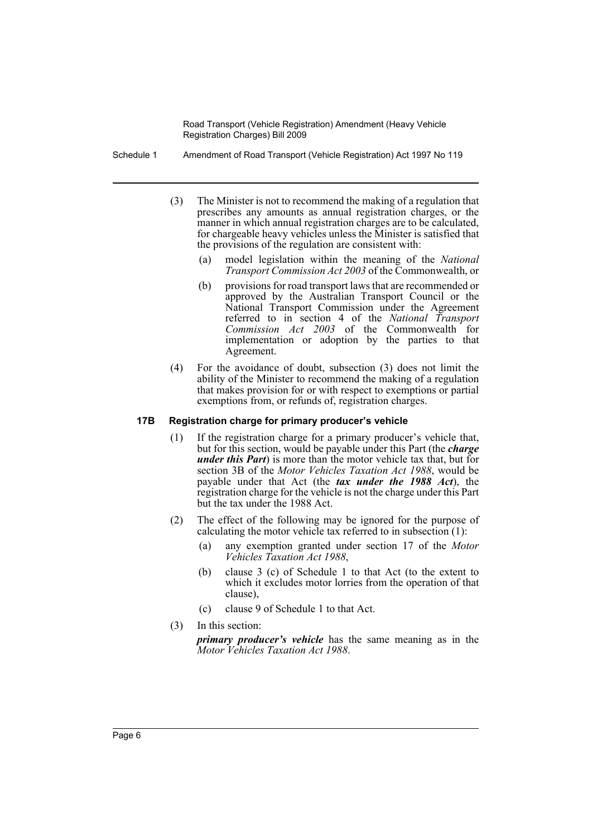Schedule 1 Amendment of Road Transport (Vehicle Registration) Act 1997 No 119

- (3) The Minister is not to recommend the making of a regulation that prescribes any amounts as annual registration charges, or the manner in which annual registration charges are to be calculated, for chargeable heavy vehicles unless the Minister is satisfied that the provisions of the regulation are consistent with:
	- (a) model legislation within the meaning of the *National Transport Commission Act 2003* of the Commonwealth, or
	- (b) provisions for road transport laws that are recommended or approved by the Australian Transport Council or the National Transport Commission under the Agreement referred to in section 4 of the *National Transport Commission Act 2003* of the Commonwealth for implementation or adoption by the parties to that Agreement.
- (4) For the avoidance of doubt, subsection (3) does not limit the ability of the Minister to recommend the making of a regulation that makes provision for or with respect to exemptions or partial exemptions from, or refunds of, registration charges.

#### **17B Registration charge for primary producer's vehicle**

- (1) If the registration charge for a primary producer's vehicle that, but for this section, would be payable under this Part (the *charge under this Part*) is more than the motor vehicle tax that, but for section 3B of the *Motor Vehicles Taxation Act 1988*, would be payable under that Act (the *tax under the 1988 Act*), the registration charge for the vehicle is not the charge under this Part but the tax under the 1988 Act.
- (2) The effect of the following may be ignored for the purpose of calculating the motor vehicle tax referred to in subsection (1):
	- (a) any exemption granted under section 17 of the *Motor Vehicles Taxation Act 1988*,
	- (b) clause 3 (c) of Schedule 1 to that Act (to the extent to which it excludes motor lorries from the operation of that clause),
	- (c) clause 9 of Schedule 1 to that Act.
- (3) In this section:

*primary producer's vehicle* has the same meaning as in the *Motor Vehicles Taxation Act 1988*.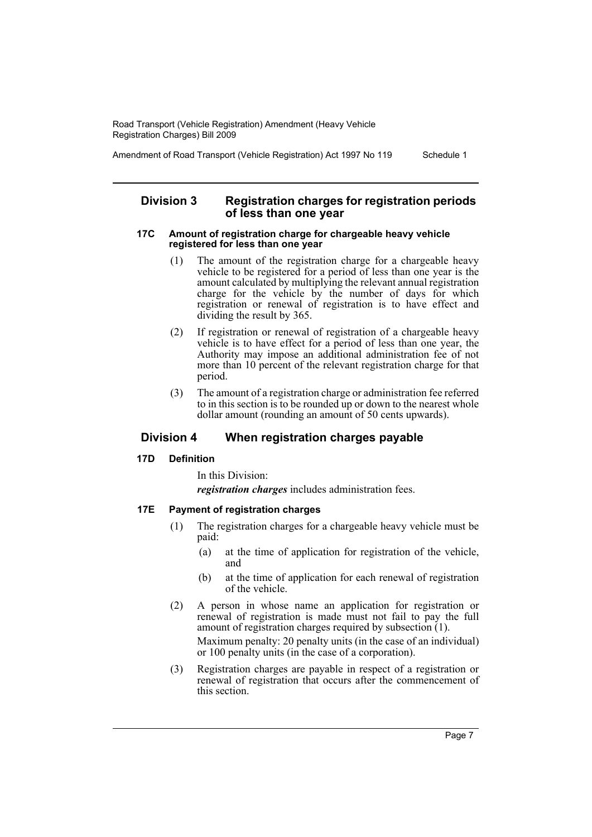Amendment of Road Transport (Vehicle Registration) Act 1997 No 119 Schedule 1

## **Division 3 Registration charges for registration periods of less than one year**

#### **17C Amount of registration charge for chargeable heavy vehicle registered for less than one year**

- (1) The amount of the registration charge for a chargeable heavy vehicle to be registered for a period of less than one year is the amount calculated by multiplying the relevant annual registration charge for the vehicle by the number of days for which registration or renewal of registration is to have effect and dividing the result by 365.
- (2) If registration or renewal of registration of a chargeable heavy vehicle is to have effect for a period of less than one year, the Authority may impose an additional administration fee of not more than 10 percent of the relevant registration charge for that period.
- (3) The amount of a registration charge or administration fee referred to in this section is to be rounded up or down to the nearest whole dollar amount (rounding an amount of 50 cents upwards).

## **Division 4 When registration charges payable**

## **17D Definition**

In this Division:

*registration charges* includes administration fees.

## **17E Payment of registration charges**

- (1) The registration charges for a chargeable heavy vehicle must be paid:
	- (a) at the time of application for registration of the vehicle, and
	- (b) at the time of application for each renewal of registration of the vehicle.
- (2) A person in whose name an application for registration or renewal of registration is made must not fail to pay the full amount of registration charges required by subsection (1). Maximum penalty: 20 penalty units (in the case of an individual) or 100 penalty units (in the case of a corporation).
- (3) Registration charges are payable in respect of a registration or renewal of registration that occurs after the commencement of this section.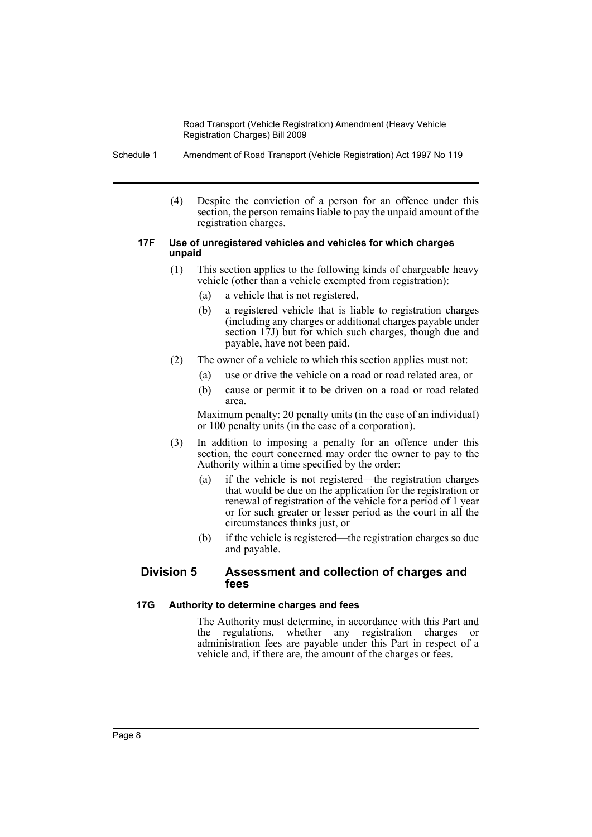Schedule 1 Amendment of Road Transport (Vehicle Registration) Act 1997 No 119

(4) Despite the conviction of a person for an offence under this section, the person remains liable to pay the unpaid amount of the registration charges.

#### **17F Use of unregistered vehicles and vehicles for which charges unpaid**

- (1) This section applies to the following kinds of chargeable heavy vehicle (other than a vehicle exempted from registration):
	- (a) a vehicle that is not registered,
	- (b) a registered vehicle that is liable to registration charges (including any charges or additional charges payable under section 17J) but for which such charges, though due and payable, have not been paid.
- (2) The owner of a vehicle to which this section applies must not:
	- (a) use or drive the vehicle on a road or road related area, or
	- (b) cause or permit it to be driven on a road or road related area.

Maximum penalty: 20 penalty units (in the case of an individual) or 100 penalty units (in the case of a corporation).

- (3) In addition to imposing a penalty for an offence under this section, the court concerned may order the owner to pay to the Authority within a time specified by the order:
	- (a) if the vehicle is not registered—the registration charges that would be due on the application for the registration or renewal of registration of the vehicle for a period of 1 year or for such greater or lesser period as the court in all the circumstances thinks just, or
	- (b) if the vehicle is registered—the registration charges so due and payable.

## **Division 5 Assessment and collection of charges and fees**

## **17G Authority to determine charges and fees**

The Authority must determine, in accordance with this Part and the regulations, whether any registration charges or administration fees are payable under this Part in respect of a vehicle and, if there are, the amount of the charges or fees.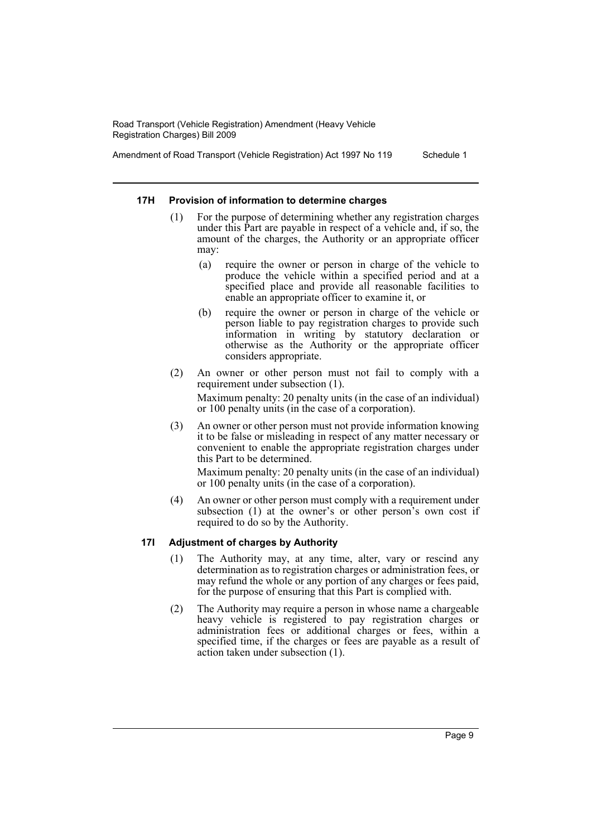Amendment of Road Transport (Vehicle Registration) Act 1997 No 119 Schedule 1

#### **17H Provision of information to determine charges**

- For the purpose of determining whether any registration charges under this Part are payable in respect of a vehicle and, if so, the amount of the charges, the Authority or an appropriate officer may:
	- (a) require the owner or person in charge of the vehicle to produce the vehicle within a specified period and at a specified place and provide all reasonable facilities to enable an appropriate officer to examine it, or
	- (b) require the owner or person in charge of the vehicle or person liable to pay registration charges to provide such information in writing by statutory declaration or otherwise as the Authority or the appropriate officer considers appropriate.
- (2) An owner or other person must not fail to comply with a requirement under subsection (1).

Maximum penalty: 20 penalty units (in the case of an individual) or 100 penalty units (in the case of a corporation).

(3) An owner or other person must not provide information knowing it to be false or misleading in respect of any matter necessary or convenient to enable the appropriate registration charges under this Part to be determined.

Maximum penalty: 20 penalty units (in the case of an individual) or 100 penalty units (in the case of a corporation).

(4) An owner or other person must comply with a requirement under subsection (1) at the owner's or other person's own cost if required to do so by the Authority.

#### **17I Adjustment of charges by Authority**

- (1) The Authority may, at any time, alter, vary or rescind any determination as to registration charges or administration fees, or may refund the whole or any portion of any charges or fees paid, for the purpose of ensuring that this Part is complied with.
- (2) The Authority may require a person in whose name a chargeable heavy vehicle is registered to pay registration charges or administration fees or additional charges or fees, within a specified time, if the charges or fees are payable as a result of action taken under subsection (1).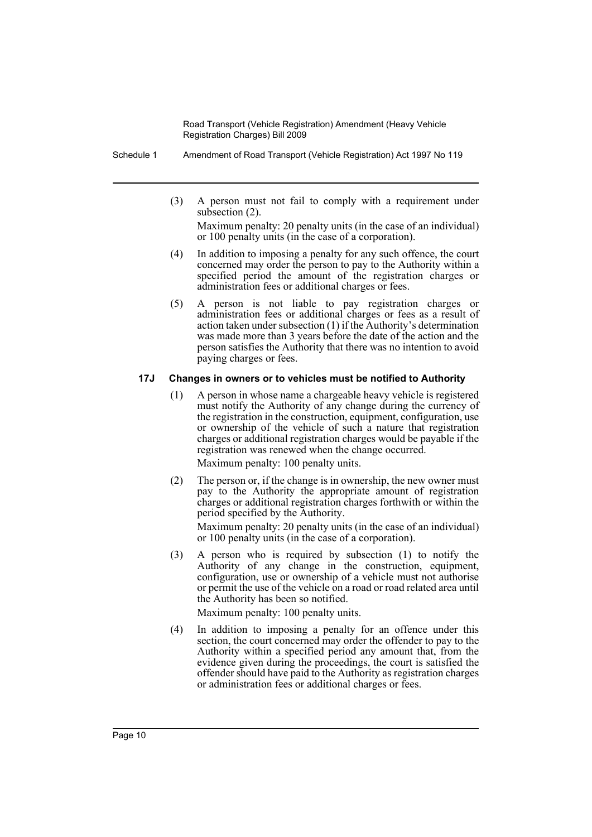Schedule 1 Amendment of Road Transport (Vehicle Registration) Act 1997 No 119

(3) A person must not fail to comply with a requirement under subsection (2).

Maximum penalty: 20 penalty units (in the case of an individual) or 100 penalty units (in the case of a corporation).

- (4) In addition to imposing a penalty for any such offence, the court concerned may order the person to pay to the Authority within a specified period the amount of the registration charges or administration fees or additional charges or fees.
- (5) A person is not liable to pay registration charges or administration fees or additional charges or fees as a result of action taken under subsection (1) if the Authority's determination was made more than 3 years before the date of the action and the person satisfies the Authority that there was no intention to avoid paying charges or fees.

## **17J Changes in owners or to vehicles must be notified to Authority**

(1) A person in whose name a chargeable heavy vehicle is registered must notify the Authority of any change during the currency of the registration in the construction, equipment, configuration, use or ownership of the vehicle of such a nature that registration charges or additional registration charges would be payable if the registration was renewed when the change occurred.

Maximum penalty: 100 penalty units.

(2) The person or, if the change is in ownership, the new owner must pay to the Authority the appropriate amount of registration charges or additional registration charges forthwith or within the period specified by the Authority.

Maximum penalty: 20 penalty units (in the case of an individual) or 100 penalty units (in the case of a corporation).

(3) A person who is required by subsection (1) to notify the Authority of any change in the construction, equipment, configuration, use or ownership of a vehicle must not authorise or permit the use of the vehicle on a road or road related area until the Authority has been so notified.

Maximum penalty: 100 penalty units.

(4) In addition to imposing a penalty for an offence under this section, the court concerned may order the offender to pay to the Authority within a specified period any amount that, from the evidence given during the proceedings, the court is satisfied the offender should have paid to the Authority as registration charges or administration fees or additional charges or fees.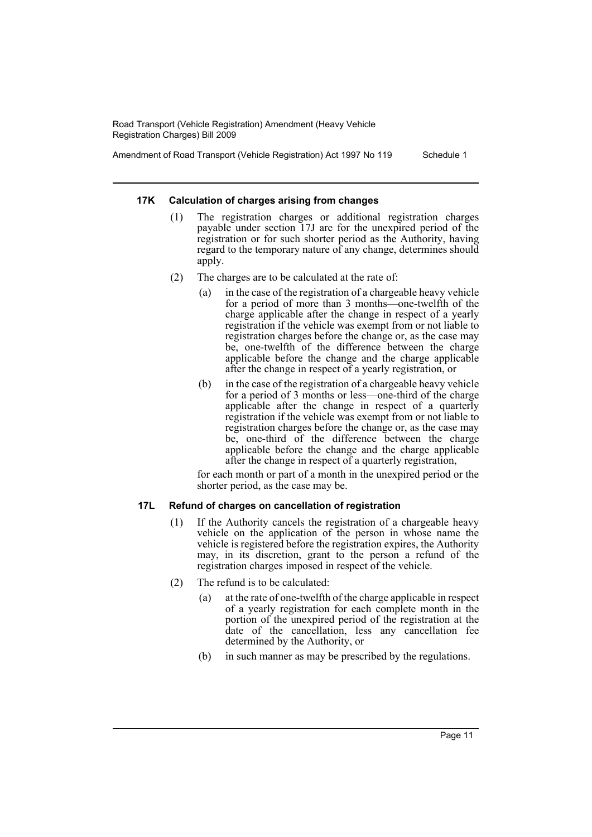Amendment of Road Transport (Vehicle Registration) Act 1997 No 119 Schedule 1

## **17K Calculation of charges arising from changes**

- (1) The registration charges or additional registration charges payable under section 17J are for the unexpired period of the registration or for such shorter period as the Authority, having regard to the temporary nature of any change, determines should apply.
- (2) The charges are to be calculated at the rate of:
	- (a) in the case of the registration of a chargeable heavy vehicle for a period of more than 3 months—one-twelfth of the charge applicable after the change in respect of a yearly registration if the vehicle was exempt from or not liable to registration charges before the change or, as the case may be, one-twelfth of the difference between the charge applicable before the change and the charge applicable after the change in respect of a yearly registration, or
	- (b) in the case of the registration of a chargeable heavy vehicle for a period of 3 months or less—one-third of the charge applicable after the change in respect of a quarterly registration if the vehicle was exempt from or not liable to registration charges before the change or, as the case may be, one-third of the difference between the charge applicable before the change and the charge applicable after the change in respect of a quarterly registration,

for each month or part of a month in the unexpired period or the shorter period, as the case may be.

## **17L Refund of charges on cancellation of registration**

- (1) If the Authority cancels the registration of a chargeable heavy vehicle on the application of the person in whose name the vehicle is registered before the registration expires, the Authority may, in its discretion, grant to the person a refund of the registration charges imposed in respect of the vehicle.
- (2) The refund is to be calculated:
	- (a) at the rate of one-twelfth of the charge applicable in respect of a yearly registration for each complete month in the portion of the unexpired period of the registration at the date of the cancellation, less any cancellation fee determined by the Authority, or
	- (b) in such manner as may be prescribed by the regulations.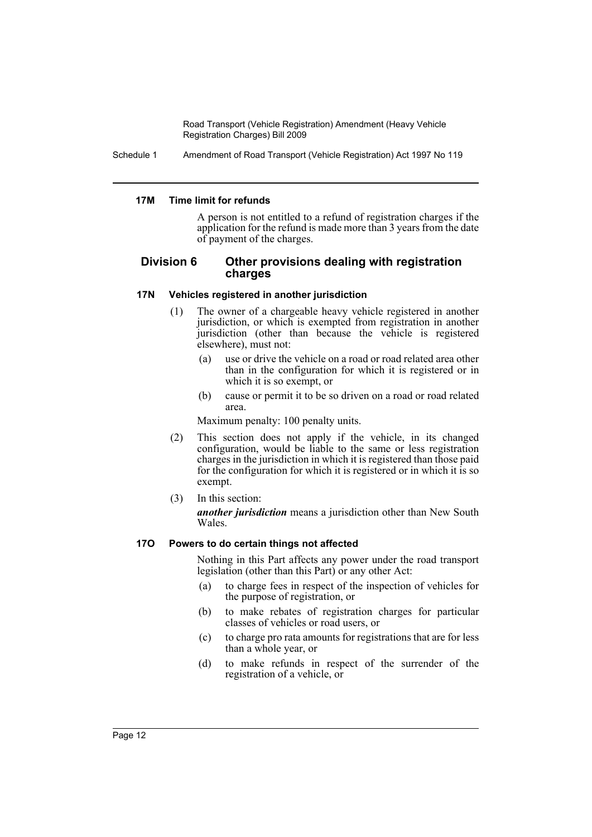Schedule 1 Amendment of Road Transport (Vehicle Registration) Act 1997 No 119

#### **17M Time limit for refunds**

A person is not entitled to a refund of registration charges if the application for the refund is made more than 3 years from the date of payment of the charges.

## **Division 6 Other provisions dealing with registration charges**

## **17N Vehicles registered in another jurisdiction**

- (1) The owner of a chargeable heavy vehicle registered in another jurisdiction, or which is exempted from registration in another jurisdiction (other than because the vehicle is registered elsewhere), must not:
	- (a) use or drive the vehicle on a road or road related area other than in the configuration for which it is registered or in which it is so exempt, or
	- (b) cause or permit it to be so driven on a road or road related area.

Maximum penalty: 100 penalty units.

- (2) This section does not apply if the vehicle, in its changed configuration, would be liable to the same or less registration charges in the jurisdiction in which it is registered than those paid for the configuration for which it is registered or in which it is so exempt.
- (3) In this section:

*another jurisdiction* means a jurisdiction other than New South Wales.

## **17O Powers to do certain things not affected**

Nothing in this Part affects any power under the road transport legislation (other than this Part) or any other Act:

- (a) to charge fees in respect of the inspection of vehicles for the purpose of registration, or
- (b) to make rebates of registration charges for particular classes of vehicles or road users, or
- (c) to charge pro rata amounts for registrations that are for less than a whole year, or
- (d) to make refunds in respect of the surrender of the registration of a vehicle, or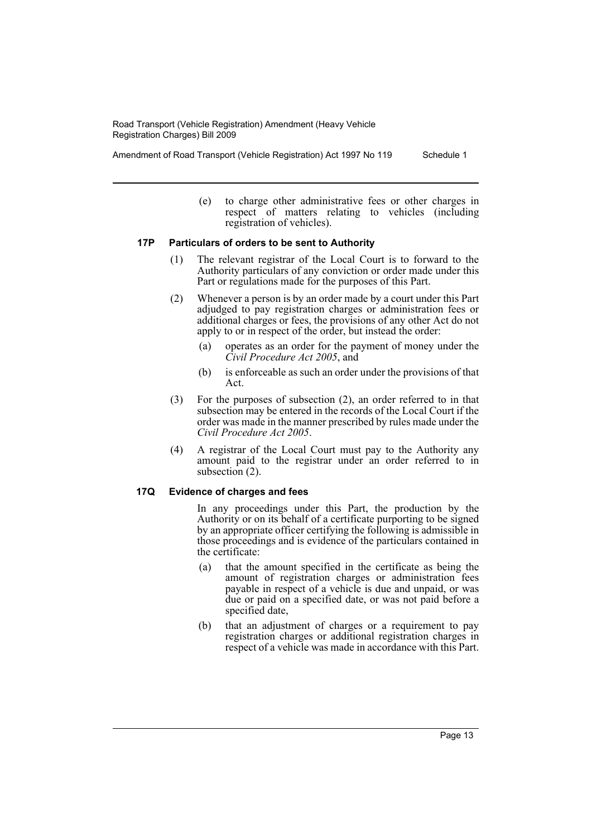Amendment of Road Transport (Vehicle Registration) Act 1997 No 119 Schedule 1

(e) to charge other administrative fees or other charges in respect of matters relating to vehicles (including registration of vehicles).

## **17P Particulars of orders to be sent to Authority**

- (1) The relevant registrar of the Local Court is to forward to the Authority particulars of any conviction or order made under this Part or regulations made for the purposes of this Part.
- (2) Whenever a person is by an order made by a court under this Part adjudged to pay registration charges or administration fees or additional charges or fees, the provisions of any other Act do not apply to or in respect of the order, but instead the order:
	- (a) operates as an order for the payment of money under the *Civil Procedure Act 2005*, and
	- (b) is enforceable as such an order under the provisions of that Act.
- (3) For the purposes of subsection (2), an order referred to in that subsection may be entered in the records of the Local Court if the order was made in the manner prescribed by rules made under the *Civil Procedure Act 2005*.
- (4) A registrar of the Local Court must pay to the Authority any amount paid to the registrar under an order referred to in subsection (2).

#### **17Q Evidence of charges and fees**

In any proceedings under this Part, the production by the Authority or on its behalf of a certificate purporting to be signed by an appropriate officer certifying the following is admissible in those proceedings and is evidence of the particulars contained in the certificate:

- (a) that the amount specified in the certificate as being the amount of registration charges or administration fees payable in respect of a vehicle is due and unpaid, or was due or paid on a specified date, or was not paid before a specified date,
- (b) that an adjustment of charges or a requirement to pay registration charges or additional registration charges in respect of a vehicle was made in accordance with this Part.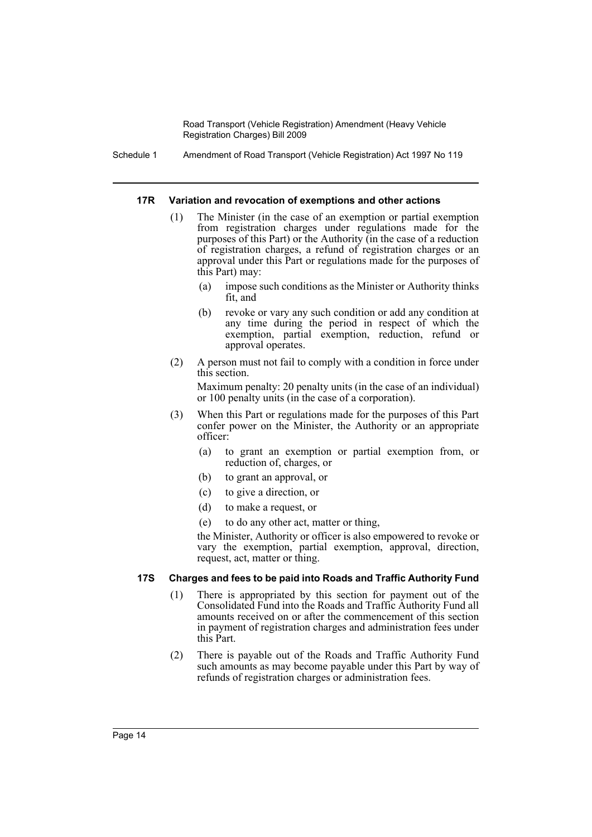Schedule 1 Amendment of Road Transport (Vehicle Registration) Act 1997 No 119

#### **17R Variation and revocation of exemptions and other actions**

- (1) The Minister (in the case of an exemption or partial exemption from registration charges under regulations made for the purposes of this Part) or the Authority (in the case of a reduction of registration charges, a refund of registration charges or an approval under this Part or regulations made for the purposes of this Part) may:
	- (a) impose such conditions as the Minister or Authority thinks fit, and
	- (b) revoke or vary any such condition or add any condition at any time during the period in respect of which the exemption, partial exemption, reduction, refund or approval operates.
- (2) A person must not fail to comply with a condition in force under this section.

Maximum penalty: 20 penalty units (in the case of an individual) or 100 penalty units (in the case of a corporation).

- (3) When this Part or regulations made for the purposes of this Part confer power on the Minister, the Authority or an appropriate officer:
	- (a) to grant an exemption or partial exemption from, or reduction of, charges, or
	- (b) to grant an approval, or
	- (c) to give a direction, or
	- (d) to make a request, or
	- (e) to do any other act, matter or thing,

the Minister, Authority or officer is also empowered to revoke or vary the exemption, partial exemption, approval, direction, request, act, matter or thing.

#### **17S Charges and fees to be paid into Roads and Traffic Authority Fund**

- (1) There is appropriated by this section for payment out of the Consolidated Fund into the Roads and Traffic Authority Fund all amounts received on or after the commencement of this section in payment of registration charges and administration fees under this Part.
- (2) There is payable out of the Roads and Traffic Authority Fund such amounts as may become payable under this Part by way of refunds of registration charges or administration fees.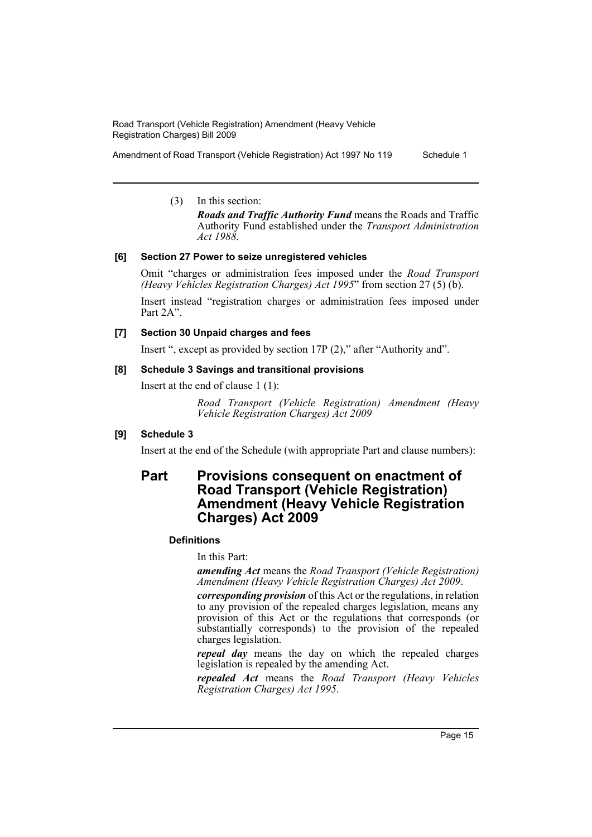Amendment of Road Transport (Vehicle Registration) Act 1997 No 119 Schedule 1

(3) In this section:

*Roads and Traffic Authority Fund* means the Roads and Traffic Authority Fund established under the *Transport Administration Act 1988*.

## **[6] Section 27 Power to seize unregistered vehicles**

Omit "charges or administration fees imposed under the *Road Transport (Heavy Vehicles Registration Charges) Act 1995*" from section 27 (5) (b).

Insert instead "registration charges or administration fees imposed under Part 2A".

## **[7] Section 30 Unpaid charges and fees**

Insert ", except as provided by section 17P (2)," after "Authority and".

## **[8] Schedule 3 Savings and transitional provisions**

Insert at the end of clause 1 (1):

*Road Transport (Vehicle Registration) Amendment (Heavy Vehicle Registration Charges) Act 2009*

## **[9] Schedule 3**

Insert at the end of the Schedule (with appropriate Part and clause numbers):

# **Part Provisions consequent on enactment of Road Transport (Vehicle Registration) Amendment (Heavy Vehicle Registration Charges) Act 2009**

## **Definitions**

In this Part:

*amending Act* means the *Road Transport (Vehicle Registration) Amendment (Heavy Vehicle Registration Charges) Act 2009*.

*corresponding provision* of this Act or the regulations, in relation to any provision of the repealed charges legislation, means any provision of this Act or the regulations that corresponds (or substantially corresponds) to the provision of the repealed charges legislation.

*repeal day* means the day on which the repealed charges legislation is repealed by the amending Act.

*repealed Act* means the *Road Transport (Heavy Vehicles Registration Charges) Act 1995*.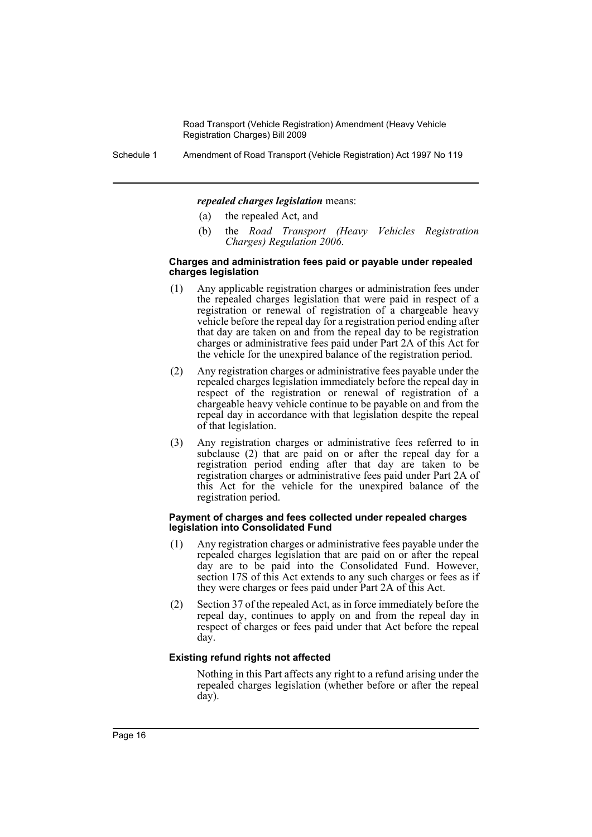Schedule 1 Amendment of Road Transport (Vehicle Registration) Act 1997 No 119

#### *repealed charges legislation* means:

- (a) the repealed Act, and
- (b) the *Road Transport (Heavy Vehicles Registration Charges) Regulation 2006*.

#### **Charges and administration fees paid or payable under repealed charges legislation**

- (1) Any applicable registration charges or administration fees under the repealed charges legislation that were paid in respect of a registration or renewal of registration of a chargeable heavy vehicle before the repeal day for a registration period ending after that day are taken on and from the repeal day to be registration charges or administrative fees paid under Part 2A of this Act for the vehicle for the unexpired balance of the registration period.
- (2) Any registration charges or administrative fees payable under the repealed charges legislation immediately before the repeal day in respect of the registration or renewal of registration of a chargeable heavy vehicle continue to be payable on and from the repeal day in accordance with that legislation despite the repeal of that legislation.
- (3) Any registration charges or administrative fees referred to in subclause (2) that are paid on or after the repeal day for a registration period ending after that day are taken to be registration charges or administrative fees paid under Part 2A of this Act for the vehicle for the unexpired balance of the registration period.

#### **Payment of charges and fees collected under repealed charges legislation into Consolidated Fund**

- (1) Any registration charges or administrative fees payable under the repealed charges legislation that are paid on or after the repeal day are to be paid into the Consolidated Fund. However, section 17S of this Act extends to any such charges or fees as if they were charges or fees paid under Part 2A of this Act.
- (2) Section 37 of the repealed Act, as in force immediately before the repeal day, continues to apply on and from the repeal day in respect of charges or fees paid under that Act before the repeal day.

#### **Existing refund rights not affected**

Nothing in this Part affects any right to a refund arising under the repealed charges legislation (whether before or after the repeal day).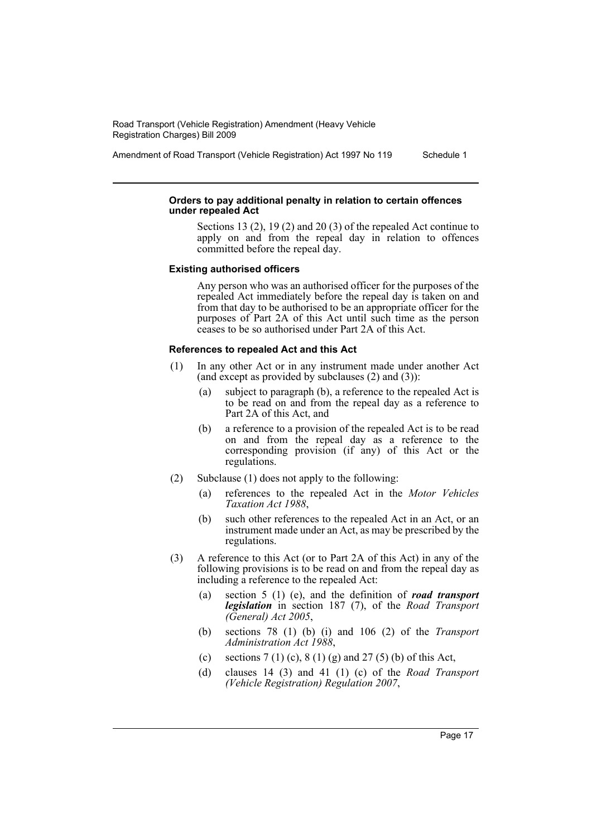Amendment of Road Transport (Vehicle Registration) Act 1997 No 119 Schedule 1

#### **Orders to pay additional penalty in relation to certain offences under repealed Act**

Sections 13 (2), 19 (2) and 20 (3) of the repealed Act continue to apply on and from the repeal day in relation to offences committed before the repeal day.

#### **Existing authorised officers**

Any person who was an authorised officer for the purposes of the repealed Act immediately before the repeal day is taken on and from that day to be authorised to be an appropriate officer for the purposes of Part 2A of this Act until such time as the person ceases to be so authorised under Part 2A of this Act.

#### **References to repealed Act and this Act**

- (1) In any other Act or in any instrument made under another Act (and except as provided by subclauses  $(2)$  and  $(3)$ ):
	- (a) subject to paragraph (b), a reference to the repealed Act is to be read on and from the repeal day as a reference to Part 2A of this Act, and
	- (b) a reference to a provision of the repealed Act is to be read on and from the repeal day as a reference to the corresponding provision (if any) of this Act or the regulations.
- (2) Subclause (1) does not apply to the following:
	- (a) references to the repealed Act in the *Motor Vehicles Taxation Act 1988*,
	- (b) such other references to the repealed Act in an Act, or an instrument made under an Act, as may be prescribed by the regulations.
- (3) A reference to this Act (or to Part 2A of this Act) in any of the following provisions is to be read on and from the repeal day as including a reference to the repealed Act:
	- (a) section 5 (1) (e), and the definition of *road transport legislation* in section 187 (7), of the *Road Transport (General) Act 2005*,
	- (b) sections 78 (1) (b) (i) and 106 (2) of the *Transport Administration Act 1988*,
	- (c) sections  $7(1)$  (c),  $8(1)$  (g) and  $27(5)$  (b) of this Act,
	- (d) clauses 14 (3) and 41 (1) (c) of the *Road Transport (Vehicle Registration) Regulation 2007*,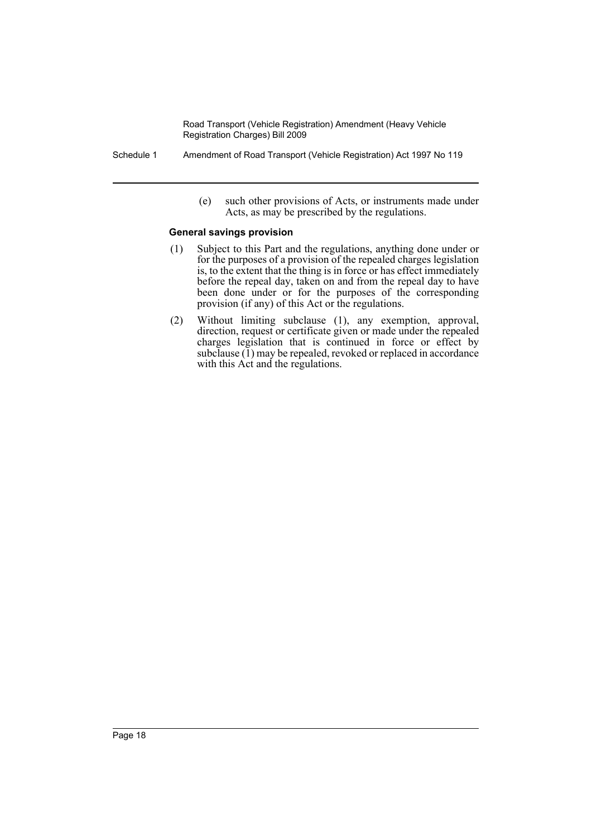- Schedule 1 Amendment of Road Transport (Vehicle Registration) Act 1997 No 119
	- (e) such other provisions of Acts, or instruments made under Acts, as may be prescribed by the regulations.

#### **General savings provision**

- (1) Subject to this Part and the regulations, anything done under or for the purposes of a provision of the repealed charges legislation is, to the extent that the thing is in force or has effect immediately before the repeal day, taken on and from the repeal day to have been done under or for the purposes of the corresponding provision (if any) of this Act or the regulations.
- (2) Without limiting subclause (1), any exemption, approval, direction, request or certificate given or made under the repealed charges legislation that is continued in force or effect by subclause  $(1)$  may be repealed, revoked or replaced in accordance with this Act and the regulations.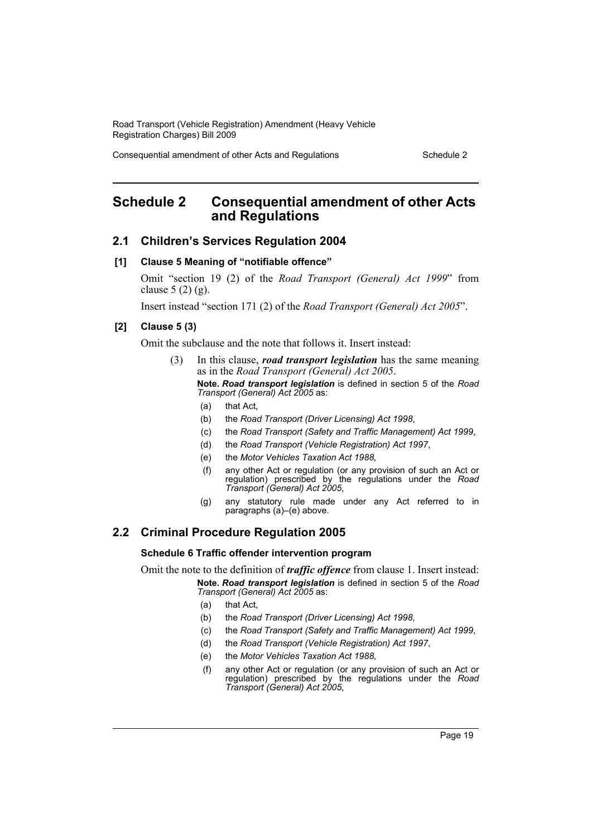Consequential amendment of other Acts and Regulations Schedule 2

# <span id="page-19-0"></span>**Schedule 2 Consequential amendment of other Acts and Regulations**

## **2.1 Children's Services Regulation 2004**

#### **[1] Clause 5 Meaning of "notifiable offence"**

Omit "section 19 (2) of the *Road Transport (General) Act 1999*" from clause  $5(2)(g)$ .

Insert instead "section 171 (2) of the *Road Transport (General) Act 2005*".

#### **[2] Clause 5 (3)**

Omit the subclause and the note that follows it. Insert instead:

- (3) In this clause, *road transport legislation* has the same meaning as in the *Road Transport (General) Act 2005*. **Note.** *Road transport legislation* is defined in section 5 of the *Road Transport (General) Act 2005* as:
	- (a) that Act,
	- (b) the *Road Transport (Driver Licensing) Act 1998*,
	- (c) the *Road Transport (Safety and Traffic Management) Act 1999*,
	- (d) the *Road Transport (Vehicle Registration) Act 1997*,
	- (e) the *Motor Vehicles Taxation Act 1988*,
	- (f) any other Act or regulation (or any provision of such an Act or regulation) prescribed by the regulations under the *Road Transport (General) Act 2005*,
	- (g) any statutory rule made under any Act referred to in paragraphs (a)–(e) above.

## **2.2 Criminal Procedure Regulation 2005**

#### **Schedule 6 Traffic offender intervention program**

Omit the note to the definition of *traffic offence* from clause 1. Insert instead: **Note.** *Road transport legislation* is defined in section 5 of the *Road*

*Transport (General) Act 2005* as:

- (a) that Act,
- (b) the *Road Transport (Driver Licensing) Act 1998*,
- (c) the *Road Transport (Safety and Traffic Management) Act 1999*,
- (d) the *Road Transport (Vehicle Registration) Act 1997*,
- (e) the *Motor Vehicles Taxation Act 1988*,
- (f) any other Act or regulation (or any provision of such an Act or regulation) prescribed by the regulations under the *Road Transport (General) Act 2005*,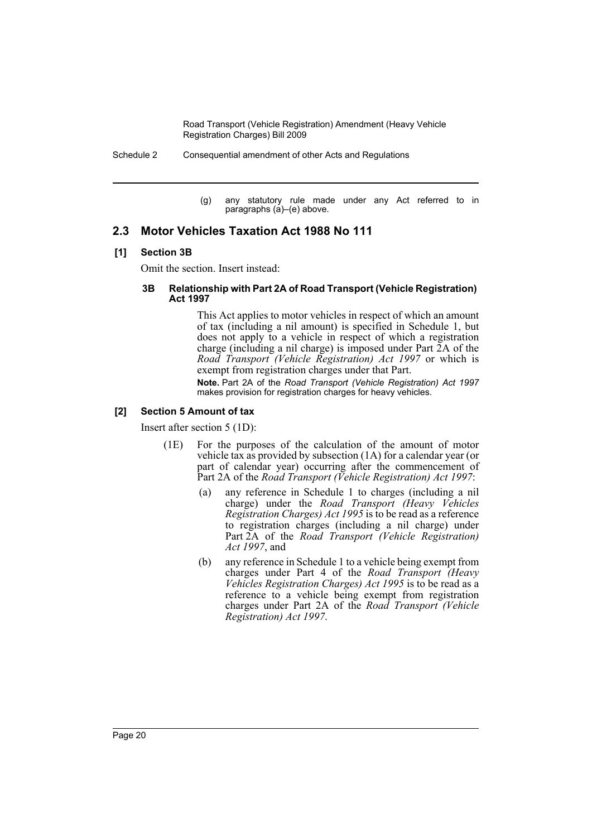Schedule 2 Consequential amendment of other Acts and Regulations

(g) any statutory rule made under any Act referred to in paragraphs (a)–(e) above.

## **2.3 Motor Vehicles Taxation Act 1988 No 111**

## **[1] Section 3B**

Omit the section. Insert instead:

#### **3B Relationship with Part 2A of Road Transport (Vehicle Registration) Act 1997**

This Act applies to motor vehicles in respect of which an amount of tax (including a nil amount) is specified in Schedule 1, but does not apply to a vehicle in respect of which a registration charge (including a nil charge) is imposed under Part 2A of the *Road Transport (Vehicle Registration) Act 1997* or which is exempt from registration charges under that Part.

**Note.** Part 2A of the *Road Transport (Vehicle Registration) Act 1997* makes provision for registration charges for heavy vehicles.

## **[2] Section 5 Amount of tax**

Insert after section 5 (1D):

- (1E) For the purposes of the calculation of the amount of motor vehicle tax as provided by subsection (1A) for a calendar year (or part of calendar year) occurring after the commencement of Part 2A of the *Road Transport (Vehicle Registration) Act 1997*:
	- (a) any reference in Schedule 1 to charges (including a nil charge) under the *Road Transport (Heavy Vehicles Registration Charges) Act 1995* is to be read as a reference to registration charges (including a nil charge) under Part 2A of the *Road Transport (Vehicle Registration) Act 1997*, and
	- (b) any reference in Schedule 1 to a vehicle being exempt from charges under Part 4 of the *Road Transport (Heavy Vehicles Registration Charges) Act 1995* is to be read as a reference to a vehicle being exempt from registration charges under Part 2A of the *Road Transport (Vehicle Registration) Act 1997*.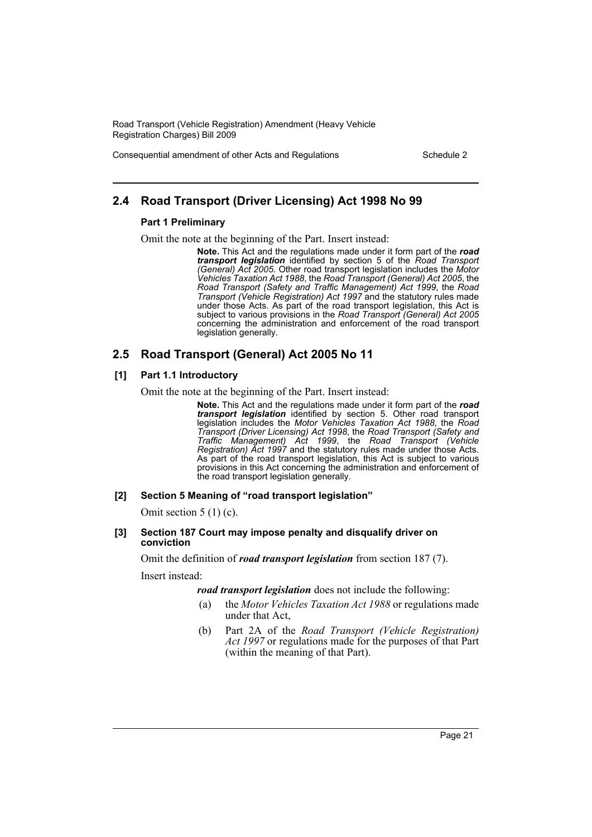Consequential amendment of other Acts and Regulations Schedule 2

## **2.4 Road Transport (Driver Licensing) Act 1998 No 99**

#### **Part 1 Preliminary**

Omit the note at the beginning of the Part. Insert instead:

**Note.** This Act and the regulations made under it form part of the *road transport legislation* identified by section 5 of the *Road Transport (General) Act 2005*. Other road transport legislation includes the *Motor Vehicles Taxation Act 1988*, the *Road Transport (General) Act 2005*, the *Road Transport (Safety and Traffic Management) Act 1999*, the *Road Transport (Vehicle Registration) Act 1997* and the statutory rules made under those Acts. As part of the road transport legislation, this Act is subject to various provisions in the *Road Transport (General) Act 2005* concerning the administration and enforcement of the road transport legislation generally.

## **2.5 Road Transport (General) Act 2005 No 11**

#### **[1] Part 1.1 Introductory**

Omit the note at the beginning of the Part. Insert instead:

**Note.** This Act and the regulations made under it form part of the *road transport legislation* identified by section 5. Other road transport legislation includes the *Motor Vehicles Taxation Act 1988*, the *Road Transport (Driver Licensing) Act 1998*, the *Road Transport (Safety and Traffic Management) Act 1999*, the *Road Transport (Vehicle Registration) Act 1997* and the statutory rules made under those Acts. As part of the road transport legislation, this Act is subject to various provisions in this Act concerning the administration and enforcement of the road transport legislation generally.

#### **[2] Section 5 Meaning of "road transport legislation"**

Omit section 5 (1) (c).

#### **[3] Section 187 Court may impose penalty and disqualify driver on conviction**

Omit the definition of *road transport legislation* from section 187 (7). Insert instead:

*road transport legislation* does not include the following:

- (a) the *Motor Vehicles Taxation Act 1988* or regulations made under that Act,
- (b) Part 2A of the *Road Transport (Vehicle Registration) Act 1997* or regulations made for the purposes of that Part (within the meaning of that Part).